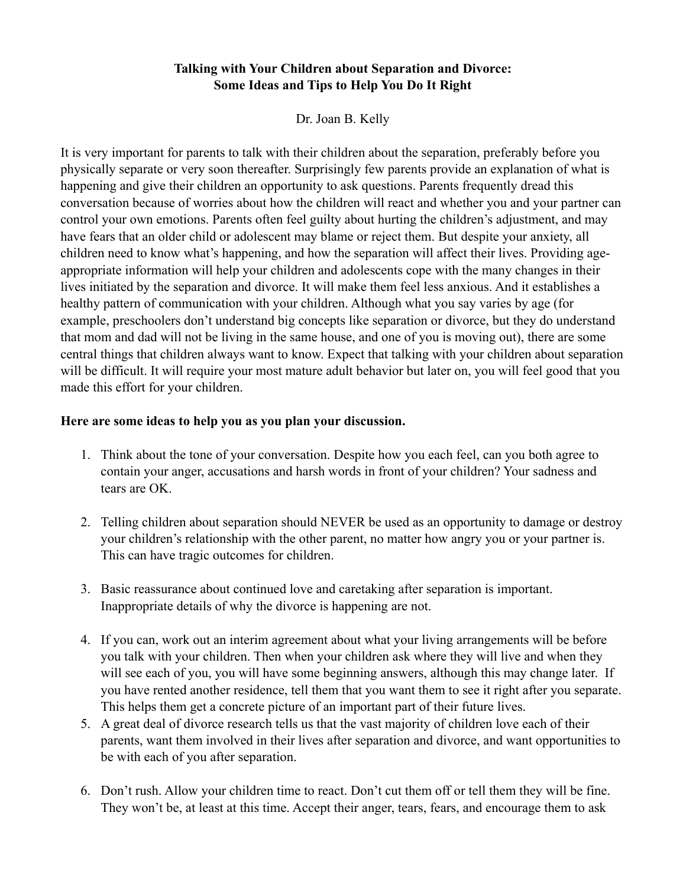## **Talking with Your Children about Separation and Divorce: Some Ideas and Tips to Help You Do It Right**

Dr. Joan B. Kelly

It is very important for parents to talk with their children about the separation, preferably before you physically separate or very soon thereafter. Surprisingly few parents provide an explanation of what is happening and give their children an opportunity to ask questions. Parents frequently dread this conversation because of worries about how the children will react and whether you and your partner can control your own emotions. Parents often feel guilty about hurting the children's adjustment, and may have fears that an older child or adolescent may blame or reject them. But despite your anxiety, all children need to know what's happening, and how the separation will affect their lives. Providing ageappropriate information will help your children and adolescents cope with the many changes in their lives initiated by the separation and divorce. It will make them feel less anxious. And it establishes a healthy pattern of communication with your children. Although what you say varies by age (for example, preschoolers don't understand big concepts like separation or divorce, but they do understand that mom and dad will not be living in the same house, and one of you is moving out), there are some central things that children always want to know. Expect that talking with your children about separation will be difficult. It will require your most mature adult behavior but later on, you will feel good that you made this effort for your children.

## **Here are some ideas to help you as you plan your discussion.**

- 1. Think about the tone of your conversation. Despite how you each feel, can you both agree to contain your anger, accusations and harsh words in front of your children? Your sadness and tears are OK.
- 2. Telling children about separation should NEVER be used as an opportunity to damage or destroy your children's relationship with the other parent, no matter how angry you or your partner is. This can have tragic outcomes for children.
- 3. Basic reassurance about continued love and caretaking after separation is important. Inappropriate details of why the divorce is happening are not.
- 4. If you can, work out an interim agreement about what your living arrangements will be before you talk with your children. Then when your children ask where they will live and when they will see each of you, you will have some beginning answers, although this may change later. If you have rented another residence, tell them that you want them to see it right after you separate. This helps them get a concrete picture of an important part of their future lives.
- 5. A great deal of divorce research tells us that the vast majority of children love each of their parents, want them involved in their lives after separation and divorce, and want opportunities to be with each of you after separation.
- 6. Don't rush. Allow your children time to react. Don't cut them off or tell them they will be fine. They won't be, at least at this time. Accept their anger, tears, fears, and encourage them to ask